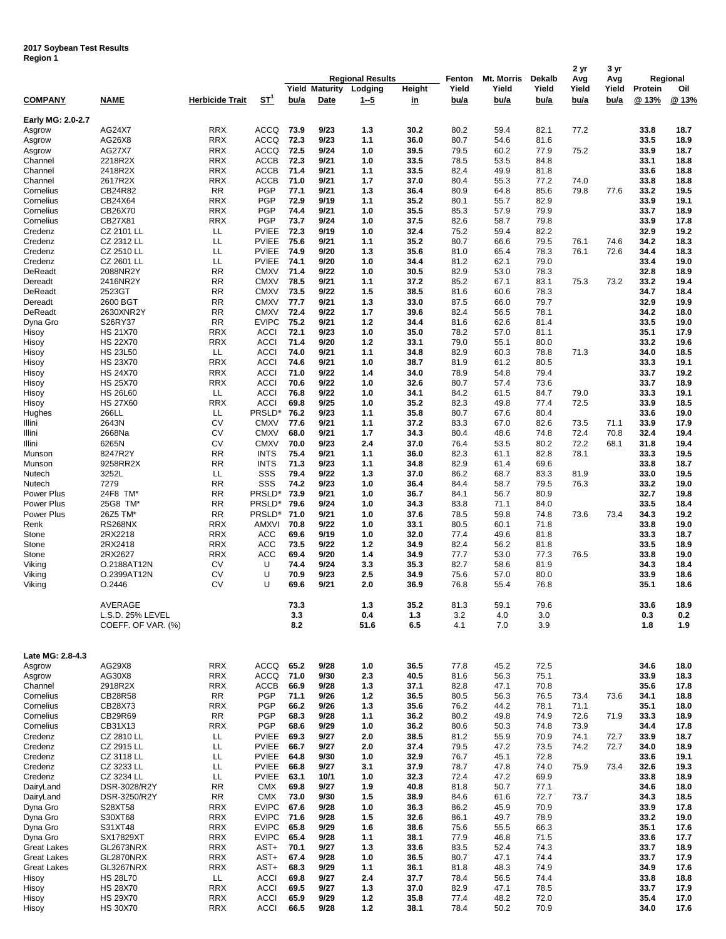## **2017 Soybean Test Results Region 1**

|                            |                                        |                          |                              | <b>Regional Results</b> |                               |                    |                     | Fenton        | Mt. Morris    | <b>Dekalb</b> | 2 yr<br>Avg   | 3 yr<br>Avg   | Regional         |              |
|----------------------------|----------------------------------------|--------------------------|------------------------------|-------------------------|-------------------------------|--------------------|---------------------|---------------|---------------|---------------|---------------|---------------|------------------|--------------|
| <b>COMPANY</b>             | <b>NAME</b>                            | <b>Herbicide Trait</b>   | <u>ST<sup>1</sup></u>        | bu/a                    | <b>Yield Maturity</b><br>Date | Lodging<br>$1 - 5$ | Height<br><u>in</u> | Yield<br>bu/a | Yield<br>bu/a | Yield<br>bu/a | Yield<br>bu/a | Yield<br>bu/a | Protein<br>@ 13% | Oil<br>@ 13% |
| Early MG: 2.0-2.7          |                                        |                          |                              |                         |                               |                    |                     |               |               |               |               |               |                  |              |
| Asgrow                     | AG24X7                                 | <b>RRX</b>               | <b>ACCQ</b>                  | 73.9                    | 9/23                          | 1.3                | 30.2                | 80.2          | 59.4          | 82.1          | 77.2          |               | 33.8             | 18.7         |
| Asgrow                     | AG26X8                                 | <b>RRX</b>               | <b>ACCQ</b>                  | 72.3                    | 9/23                          | 1.1                | 36.0                | 80.7          | 54.6          | 81.6          |               |               | 33.5             | 18.9         |
| Asgrow                     | AG27X7                                 | <b>RRX</b>               | <b>ACCQ</b>                  | 72.5                    | 9/24                          | 1.0                | 39.5                | 79.5          | 60.2          | 77.9          | 75.2          |               | 33.9             | 18.7         |
| Channel                    | 2218R2X                                | <b>RRX</b>               | ACCB                         | 72.3                    | 9/21                          | 1.0                | 33.5                | 78.5          | 53.5          | 84.8          |               |               | 33.1             | 18.8         |
| Channel<br>Channel         | 2418R2X<br>2617R2X                     | <b>RRX</b><br><b>RRX</b> | ACCB<br><b>ACCB</b>          | 71.4<br>71.0            | 9/21<br>9/21                  | 1.1<br>1.7         | 33.5<br>37.0        | 82.4<br>80.4  | 49.9<br>55.3  | 81.8<br>77.2  | 74.0          |               | 33.6<br>33.8     | 18.8<br>18.8 |
| Cornelius                  | CB24R82                                | <b>RR</b>                | <b>PGP</b>                   | 77.1                    | 9/21                          | 1.3                | 36.4                | 80.9          | 64.8          | 85.6          | 79.8          | 77.6          | 33.2             | 19.5         |
| Cornelius                  | CB24X64                                | <b>RRX</b>               | <b>PGP</b>                   | 72.9                    | 9/19                          | 1.1                | 35.2                | 80.1          | 55.7          | 82.9          |               |               | 33.9             | 19.1         |
| Cornelius                  | CB26X70                                | <b>RRX</b>               | <b>PGP</b>                   | 74.4                    | 9/21                          | 1.0                | 35.5                | 85.3          | 57.9          | 79.9          |               |               | 33.7             | 18.9         |
| Cornelius                  | CB27X81                                | <b>RRX</b>               | <b>PGP</b>                   | 73.7                    | 9/24                          | 1.0                | 37.5                | 82.6          | 58.7          | 79.8          |               |               | 33.9             | 17.8         |
| Credenz                    | CZ 2101 LL<br>CZ 2312 LL               | LL<br>LL                 | <b>PVIEE</b><br><b>PVIEE</b> | 72.3<br>75.6            | 9/19<br>9/21                  | 1.0                | 32.4<br>35.2        | 75.2<br>80.7  | 59.4          | 82.2<br>79.5  | 76.1          | 74.6          | 32.9<br>34.2     | 19.2<br>18.3 |
| Credenz<br>Credenz         | CZ 2510 LL                             | LL                       | <b>PVIEE</b>                 | 74.9                    | 9/20                          | 1.1<br>1.3         | 35.6                | 81.0          | 66.6<br>65.4  | 78.3          | 76.1          | 72.6          | 34.4             | 18.3         |
| Credenz                    | CZ 2601 LL                             | LL                       | <b>PVIEE</b>                 | 74.1                    | 9/20                          | 1.0                | 34.4                | 81.2          | 62.1          | 79.0          |               |               | 33.4             | 19.0         |
| DeReadt                    | 2088NR2Y                               | <b>RR</b>                | <b>CMXV</b>                  | 71.4                    | 9/22                          | 1.0                | 30.5                | 82.9          | 53.0          | 78.3          |               |               | 32.8             | 18.9         |
| Dereadt                    | 2416NR2Y                               | <b>RR</b>                | <b>CMXV</b>                  | 78.5                    | 9/21                          | 1.1                | 37.2                | 85.2          | 67.1          | 83.1          | 75.3          | 73.2          | 33.2             | 19.4         |
| DeReadt                    | 2523GT                                 | <b>RR</b>                | <b>CMXV</b>                  | 73.5                    | 9/22                          | 1.5                | 38.5                | 81.6          | 60.6          | 78.3          |               |               | 34.7             | 18.4         |
| Dereadt                    | 2600 BGT                               | <b>RR</b>                | <b>CMXV</b>                  | 77.7                    | 9/21                          | 1.3                | 33.0                | 87.5          | 66.0          | 79.7          |               |               | 32.9             | 19.9         |
| DeReadt<br>Dyna Gro        | 2630XNR2Y<br>S26RY37                   | <b>RR</b><br><b>RR</b>   | <b>CMXV</b><br><b>EVIPC</b>  | 72.4<br>75.2            | 9/22<br>9/21                  | 1.7<br>$1.2$       | 39.6<br>34.4        | 82.4<br>81.6  | 56.5<br>62.6  | 78.1<br>81.4  |               |               | 34.2<br>33.5     | 18.0<br>19.0 |
| Hisoy                      | <b>HS 21X70</b>                        | <b>RRX</b>               | <b>ACCI</b>                  | 72.1                    | 9/23                          | 1.0                | 35.0                | 78.2          | 57.0          | 81.1          |               |               | 35.1             | 17.9         |
| Hisoy                      | <b>HS 22X70</b>                        | <b>RRX</b>               | <b>ACCI</b>                  | 71.4                    | 9/20                          | 1.2                | 33.1                | 79.0          | 55.1          | 80.0          |               |               | 33.2             | 19.6         |
| Hisoy                      | <b>HS 23L50</b>                        | LL                       | <b>ACCI</b>                  | 74.0                    | 9/21                          | 1.1                | 34.8                | 82.9          | 60.3          | 78.8          | 71.3          |               | 34.0             | 18.5         |
| Hisoy                      | <b>HS 23X70</b>                        | <b>RRX</b>               | <b>ACCI</b>                  | 74.6                    | 9/21                          | 1.0                | 38.7                | 81.9          | 61.2          | 80.5          |               |               | 33.3             | 19.1         |
| Hisoy                      | <b>HS 24X70</b>                        | <b>RRX</b>               | <b>ACCI</b>                  | 71.0                    | 9/22                          | 1.4                | 34.0                | 78.9          | 54.8          | 79.4          |               |               | 33.7             | 19.2         |
| Hisoy<br>Hisoy             | <b>HS 25X70</b><br><b>HS 26L60</b>     | <b>RRX</b><br>LL         | <b>ACCI</b><br><b>ACCI</b>   | 70.6<br>76.8            | 9/22<br>9/22                  | 1.0<br>1.0         | 32.6<br>34.1        | 80.7<br>84.2  | 57.4<br>61.5  | 73.6<br>84.7  | 79.0          |               | 33.7<br>33.3     | 18.9<br>19.1 |
| Hisoy                      | <b>HS 27X60</b>                        | <b>RRX</b>               | <b>ACCI</b>                  | 69.8                    | 9/25                          | 1.0                | 35.2                | 82.3          | 49.8          | 77.4          | 72.5          |               | 33.9             | 18.5         |
| Hughes                     | 266LL                                  | LL                       | PRSLD <sup>®</sup>           | 76.2                    | 9/23                          | 1.1                | 35.8                | 80.7          | 67.6          | 80.4          |               |               | 33.6             | 19.0         |
| Illini                     | 2643N                                  | CV                       | <b>CMXV</b>                  | 77.6                    | 9/21                          | 1.1                | 37.2                | 83.3          | 67.0          | 82.6          | 73.5          | 71.1          | 33.9             | 17.9         |
| Illini                     | 2668Na                                 | CV                       | <b>CMXV</b>                  | 68.0                    | 9/21                          | 1.7                | 34.3                | 80.4          | 48.6          | 74.8          | 72.4          | 70.8          | 32.4             | 19.4         |
| Illini                     | 6265N                                  | CV                       | <b>CMXV</b>                  | 70.0                    | 9/23                          | 2.4                | 37.0                | 76.4          | 53.5          | 80.2          | 72.2          | 68.1          | 31.8             | 19.4         |
| Munson                     | 8247R2Y                                | <b>RR</b>                | <b>INTS</b>                  | 75.4                    | 9/21                          | 1.1                | 36.0                | 82.3          | 61.1          | 82.8          | 78.1          |               | 33.3             | 19.5         |
| Munson<br>Nutech           | 9258RR2X<br>3252L                      | <b>RR</b><br>LL          | <b>INTS</b><br>SSS           | 71.3<br>79.4            | 9/23<br>9/22                  | 1.1<br>1.3         | 34.8<br>37.0        | 82.9<br>86.2  | 61.4<br>68.7  | 69.6<br>83.3  | 81.9          |               | 33.8<br>33.0     | 18.7<br>19.5 |
| Nutech                     | 7279                                   | <b>RR</b>                | SSS                          | 74.2                    | 9/23                          | 1.0                | 36.4                | 84.4          | 58.7          | 79.5          | 76.3          |               | 33.2             | 19.0         |
| Power Plus                 | 24F8 TM*                               | <b>RR</b>                | PRSLD <sup>®</sup>           | 73.9                    | 9/21                          | 1.0                | 36.7                | 84.1          | 56.7          | 80.9          |               |               | 32.7             | 19.8         |
| Power Plus                 | 25G8 TM*                               | <b>RR</b>                | PRSLD <sup>®</sup>           | 79.6                    | 9/24                          | 1.0                | 34.3                | 83.8          | 71.1          | 84.0          |               |               | 33.5             | 18.4         |
| Power Plus                 | 26Z5 TM*                               | <b>RR</b>                | PRSLD <sup>®</sup>           | 71.0                    | 9/21                          | 1.0                | 37.6                | 78.5          | 59.8          | 74.8          | 73.6          | 73.4          | 34.3             | 19.2         |
| Renk                       | <b>RS268NX</b>                         | <b>RRX</b>               | AMXVI                        | 70.8                    | 9/22                          | 1.0                | 33.1                | 80.5          | 60.1          | 71.8          |               |               | 33.8             | 19.0         |
| Stone<br>Stone             | 2RX2218<br>2RX2418                     | <b>RRX</b><br><b>RRX</b> | <b>ACC</b><br><b>ACC</b>     | 69.6<br>73.5            | 9/19<br>9/22                  | 1.0<br>$1.2$       | 32.0<br>34.9        | 77.4<br>82.4  | 49.6<br>56.2  | 81.8<br>81.8  |               |               | 33.3<br>33.5     | 18.7<br>18.9 |
| Stone                      | 2RX2627                                | <b>RRX</b>               | ACC                          | 69.4                    | 9/20                          | 1.4                | 34.9                | 77.7          | 53.0          | 77.3          | 76.5          |               | 33.8             | 19.0         |
| Viking                     | O.2188AT12N                            | CV                       | U                            | 74.4                    | 9/24                          | 3.3                | 35.3                | 82.7          | 58.6          | 81.9          |               |               | 34.3             | 18.4         |
| Viking                     | O.2399AT12N                            | CV                       | U                            | 70.9                    | 9/23                          | 2.5                | 34.9                | 75.6          | 57.0          | 80.0          |               |               | 33.9             | 18.6         |
| Viking                     | 0.2446                                 | CV                       | U                            | 69.6                    | 9/21                          | 2.0                | 36.9                | 76.8          | 55.4          | 76.8          |               |               | 35.1             | 18.6         |
|                            | AVERAGE                                |                          |                              | 73.3                    |                               | 1.3                | 35.2                | 81.3          | 59.1          | 79.6          |               |               | 33.6             | 18.9         |
|                            | L.S.D. 25% LEVEL<br>COEFF. OF VAR. (%) |                          |                              | 3.3<br>8.2              |                               | 0.4<br>51.6        | 1.3<br>6.5          | 3.2<br>4.1    | 4.0<br>7.0    | 3.0<br>3.9    |               |               | 0.3<br>1.8       | 0.2<br>1.9   |
|                            |                                        |                          |                              |                         |                               |                    |                     |               |               |               |               |               |                  |              |
|                            |                                        |                          |                              |                         |                               |                    |                     |               |               |               |               |               |                  |              |
| Late MG: 2.8-4.3<br>Asgrow | AG29X8                                 | <b>RRX</b>               | <b>ACCQ</b>                  | 65.2                    | 9/28                          | 1.0                | 36.5                | 77.8          | 45.2          | 72.5          |               |               | 34.6             | 18.0         |
| Asgrow                     | AG30X8                                 | <b>RRX</b>               | ACCQ                         | 71.0                    | 9/30                          | 2.3                | 40.5                | 81.6          | 56.3          | 75.1          |               |               | 33.9             | 18.3         |
| Channel                    | 2918R2X                                | <b>RRX</b>               | ACCB                         | 66.9                    | 9/28                          | 1.3                | 37.1                | 82.8          | 47.1          | 70.8          |               |               | 35.6             | 17.8         |
| Cornelius                  | CB28R58                                | <b>RR</b>                | <b>PGP</b>                   | 71.1                    | 9/26                          | $1.2$              | 36.5                | 80.5          | 56.3          | 76.5          | 73.4          | 73.6          | 34.1             | 18.8         |
| Cornelius                  | CB28X73                                | <b>RRX</b>               | <b>PGP</b>                   | 66.2                    | 9/26                          | 1.3                | 35.6                | 76.2          | 44.2          | 78.1          | 71.1          |               | 35.1             | 18.0         |
| Cornelius                  | CB29R69                                | <b>RR</b>                | <b>PGP</b>                   | 68.3                    | 9/28                          | 1.1                | 36.2                | 80.2          | 49.8          | 74.9          | 72.6          | 71.9          | 33.3             | 18.9         |
| Cornelius                  | CB31X13                                | <b>RRX</b>               | <b>PGP</b>                   | 68.6<br>69.3            | 9/29                          | 1.0                | 36.2                | 80.6          | 50.3          | 74.8          | 73.9          |               | 34.4             | 17.8         |
| Credenz<br>Credenz         | CZ 2810 LL<br>CZ 2915 LL               | LL<br>LL                 | <b>PVIEE</b><br><b>PVIEE</b> | 66.7                    | 9/27<br>9/27                  | 2.0<br>2.0         | 38.5<br>37.4        | 81.2<br>79.5  | 55.9<br>47.2  | 70.9<br>73.5  | 74.1<br>74.2  | 72.7<br>72.7  | 33.9<br>34.0     | 18.7<br>18.9 |
| Credenz                    | CZ 3118 LL                             | LL                       | <b>PVIEE</b>                 | 64.8                    | 9/30                          | 1.0                | 32.9                | 76.7          | 45.1          | 72.8          |               |               | 33.6             | 19.1         |
| Credenz                    | CZ 3233 LL                             | LL                       | <b>PVIEE</b>                 | 66.8                    | 9/27                          | 3.1                | 37.9                | 78.7          | 47.8          | 74.0          | 75.9          | 73.4          | 32.6             | 19.3         |
| Credenz                    | CZ 3234 LL                             | LL                       | <b>PVIEE</b>                 | 63.1                    | 10/1                          | 1.0                | 32.3                | 72.4          | 47.2          | 69.9          |               |               | 33.8             | 18.9         |
| DairyLand                  | DSR-3028/R2Y                           | <b>RR</b>                | <b>CMX</b>                   | 69.8                    | 9/27                          | 1.9                | 40.8                | 81.8          | 50.7          | 77.1          |               |               | 34.6             | 18.0         |
| DairyLand                  | DSR-3250/R2Y                           | <b>RR</b>                | <b>CMX</b>                   | 73.0                    | 9/30                          | 1.5                | 38.9                | 84.6          | 61.6          | 72.7          | 73.7          |               | 34.3             | 18.5         |
| Dyna Gro<br>Dyna Gro       | S28XT58<br>S30XT68                     | <b>RRX</b><br><b>RRX</b> | <b>EVIPC</b><br><b>EVIPC</b> | 67.6<br>71.6            | 9/28<br>9/28                  | 1.0<br>$1.5$       | 36.3<br>32.6        | 86.2          | 45.9<br>49.7  | 70.9<br>78.9  |               |               | 33.9<br>33.2     | 17.8<br>19.0 |
| Dyna Gro                   | S31XT48                                | <b>RRX</b>               | <b>EVIPC</b>                 | 65.8                    | 9/29                          | 1.6                | 38.6                | 86.1<br>75.6  | 55.5          | 66.3          |               |               | 35.1             | 17.6         |
| Dyna Gro                   | SX17829XT                              | <b>RRX</b>               | <b>EVIPC</b>                 | 65.4                    | 9/28                          | 1.1                | 38.1                | 77.9          | 46.8          | 71.5          |               |               | 33.6             | 17.7         |
| Great Lakes                | GL2673NRX                              | <b>RRX</b>               | AST+                         | 70.1                    | 9/27                          | 1.3                | 33.6                | 83.5          | 52.4          | 74.3          |               |               | 33.7             | 18.9         |
| <b>Great Lakes</b>         | GL2870NRX                              | <b>RRX</b>               | AST+                         | 67.4                    | 9/28                          | 1.0                | 36.5                | 80.7          | 47.1          | 74.4          |               |               | 33.7             | 17.9         |
| <b>Great Lakes</b>         | GL3267NRX                              | <b>RRX</b>               | AST+                         | 68.3                    | 9/29                          | 1.1                | 36.1                | 81.8          | 48.3          | 74.9          |               |               | 34.9             | 17.6         |
| Hisoy                      | <b>HS 28L70</b>                        | LL.                      | <b>ACCI</b>                  | 69.8                    | 9/27                          | 2.4                | 37.7                | 78.4          | 56.5          | 74.4          |               |               | 33.8             | 18.8         |
| Hisoy<br>Hisoy             | <b>HS 28X70</b><br><b>HS 29X70</b>     | <b>RRX</b><br><b>RRX</b> | <b>ACCI</b><br><b>ACCI</b>   | 69.5<br>65.9            | 9/27<br>9/29                  | 1.3<br>$1.2$       | 37.0<br>35.8        | 82.9<br>77.4  | 47.1<br>48.2  | 78.5<br>72.0  |               |               | 33.7<br>35.4     | 17.9<br>17.0 |
| Hisoy                      | <b>HS 30X70</b>                        | RRX                      | <b>ACCI</b>                  | 66.5                    | 9/28                          | $1.2$              | 38.1                | 78.4          | 50.2          | 70.9          |               |               | 34.0             | 17.6         |